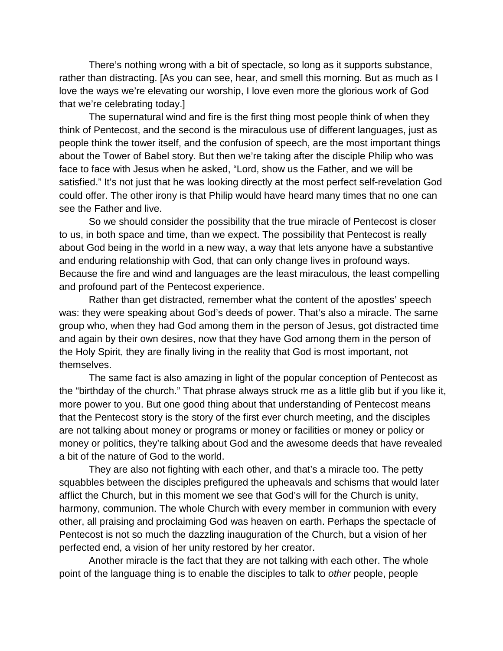There's nothing wrong with a bit of spectacle, so long as it supports substance, rather than distracting. [As you can see, hear, and smell this morning. But as much as I love the ways we're elevating our worship, I love even more the glorious work of God that we're celebrating today.]

The supernatural wind and fire is the first thing most people think of when they think of Pentecost, and the second is the miraculous use of different languages, just as people think the tower itself, and the confusion of speech, are the most important things about the Tower of Babel story. But then we're taking after the disciple Philip who was face to face with Jesus when he asked, "Lord, show us the Father, and we will be satisfied." It's not just that he was looking directly at the most perfect self-revelation God could offer. The other irony is that Philip would have heard many times that no one can see the Father and live.

So we should consider the possibility that the true miracle of Pentecost is closer to us, in both space and time, than we expect. The possibility that Pentecost is really about God being in the world in a new way, a way that lets anyone have a substantive and enduring relationship with God, that can only change lives in profound ways. Because the fire and wind and languages are the least miraculous, the least compelling and profound part of the Pentecost experience.

Rather than get distracted, remember what the content of the apostles' speech was: they were speaking about God's deeds of power. That's also a miracle. The same group who, when they had God among them in the person of Jesus, got distracted time and again by their own desires, now that they have God among them in the person of the Holy Spirit, they are finally living in the reality that God is most important, not themselves.

The same fact is also amazing in light of the popular conception of Pentecost as the "birthday of the church." That phrase always struck me as a little glib but if you like it, more power to you. But one good thing about that understanding of Pentecost means that the Pentecost story is the story of the first ever church meeting, and the disciples are not talking about money or programs or money or facilities or money or policy or money or politics, they're talking about God and the awesome deeds that have revealed a bit of the nature of God to the world.

They are also not fighting with each other, and that's a miracle too. The petty squabbles between the disciples prefigured the upheavals and schisms that would later afflict the Church, but in this moment we see that God's will for the Church is unity, harmony, communion. The whole Church with every member in communion with every other, all praising and proclaiming God was heaven on earth. Perhaps the spectacle of Pentecost is not so much the dazzling inauguration of the Church, but a vision of her perfected end, a vision of her unity restored by her creator.

Another miracle is the fact that they are not talking with each other. The whole point of the language thing is to enable the disciples to talk to *other* people, people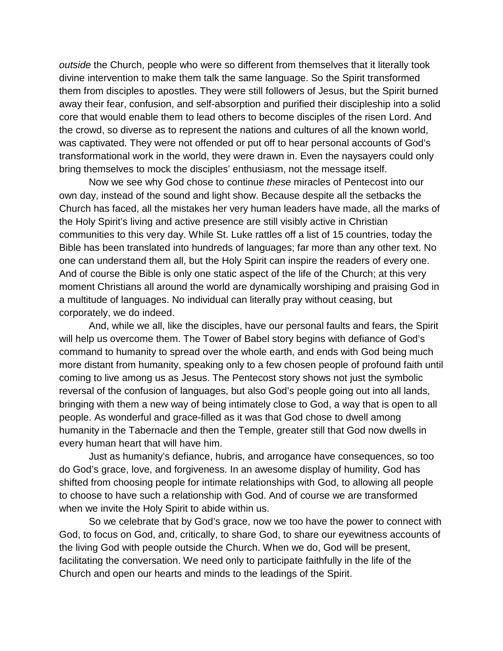*outside* the Church, people who were so different from themselves that it literally took divine intervention to make them talk the same language. So the Spirit transformed them from disciples to apostles. They were still followers of Jesus, but the Spirit burned away their fear, confusion, and self-absorption and purified their discipleship into a solid core that would enable them to lead others to become disciples of the risen Lord. And the crowd, so diverse as to represent the nations and cultures of all the known world, was captivated. They were not offended or put off to hear personal accounts of God's transformational work in the world, they were drawn in. Even the naysayers could only bring themselves to mock the disciples' enthusiasm, not the message itself.

Now we see why God chose to continue *these* miracles of Pentecost into our own day, instead of the sound and light show. Because despite all the setbacks the Church has faced, all the mistakes her very human leaders have made, all the marks of the Holy Spirit's living and active presence are still visibly active in Christian communities to this very day. While St. Luke rattles off a list of 15 countries, today the Bible has been translated into hundreds of languages; far more than any other text. No one can understand them all, but the Holy Spirit can inspire the readers of every one. And of course the Bible is only one static aspect of the life of the Church; at this very moment Christians all around the world are dynamically worshiping and praising God in a multitude of languages. No individual can literally pray without ceasing, but corporately, we do indeed.

And, while we all, like the disciples, have our personal faults and fears, the Spirit will help us overcome them. The Tower of Babel story begins with defiance of God's command to humanity to spread over the whole earth, and ends with God being much more distant from humanity, speaking only to a few chosen people of profound faith until coming to live among us as Jesus. The Pentecost story shows not just the symbolic reversal of the confusion of languages, but also God's people going out into all lands, bringing with them a new way of being intimately close to God, a way that is open to all people. As wonderful and grace-filled as it was that God chose to dwell among humanity in the Tabernacle and then the Temple, greater still that God now dwells in every human heart that will have him.

Just as humanity's defiance, hubris, and arrogance have consequences, so too do God's grace, love, and forgiveness. In an awesome display of humility, God has shifted from choosing people for intimate relationships with God, to allowing all people to choose to have such a relationship with God. And of course we are transformed when we invite the Holy Spirit to abide within us.

So we celebrate that by God's grace, now we too have the power to connect with God, to focus on God, and, critically, to share God, to share our eyewitness accounts of the living God with people outside the Church. When we do, God will be present, facilitating the conversation. We need only to participate faithfully in the life of the Church and open our hearts and minds to the leadings of the Spirit.